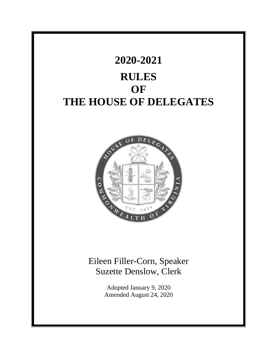

# Eileen Filler-Corn, Speaker Suzette Denslow, Clerk

Adopted January 9, 2020 Amended August 24, 2020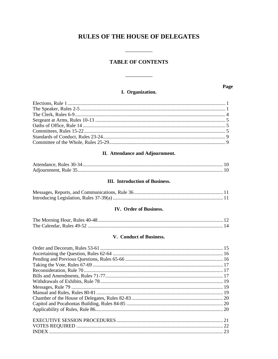# **RULES OF THE HOUSE OF DELEGATES**

 $\begin{tabular}{ll} \multicolumn{3}{c} {\textbf{1}} & \multicolumn{3}{c} {\textbf{1}} & \multicolumn{3}{c} {\textbf{1}} \\ \multicolumn{3}{c} {\textbf{2}} & \multicolumn{3}{c} {\textbf{3}} & \multicolumn{3}{c} {\textbf{4}} \\ \multicolumn{3}{c} {\textbf{4}} & \multicolumn{3}{c} {\textbf{5}} & \multicolumn{3}{c} {\textbf{6}} \\ \multicolumn{3}{c} {\textbf{5}} & \multicolumn{3}{c} {\textbf{6}} & \multicolumn{3}{c} {\textbf{6}} \\ \multicolumn{3}{c} {\textbf{6}} & \multicolumn$ 

## **TABLE OF CONTENTS**

# I. Organization.

<u> a martin d</u>

Page

 $\overline{\phantom{a}}$ 

#### II. Attendance and Adjournment.

#### **III.** Introduction of Business.

#### IV. Order of Business.

#### V. Conduct of Business.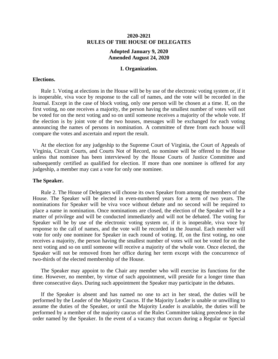#### **2020-2021 RULES OF THE HOUSE OF DELEGATES**

#### **Adopted January 9, 2020 Amended August 24, 2020**

#### **I. Organization.**

#### **Elections.**

Rule 1. Voting at elections in the House will be by use of the electronic voting system or, if it is inoperable, viva voce by response to the call of names, and the vote will be recorded in the Journal. Except in the case of block voting, only one person will be chosen at a time. If, on the first voting, no one receives a majority, the person having the smallest number of votes will not be voted for on the next voting and so on until someone receives a majority of the whole vote. If the election is by joint vote of the two houses, messages will be exchanged for each voting announcing the names of persons in nomination. A committee of three from each house will compare the votes and ascertain and report the result.

At the election for any judgeship to the Supreme Court of Virginia, the Court of Appeals of Virginia, Circuit Courts, and Courts Not of Record, no nominee will be offered to the House unless that nominee has been interviewed by the House Courts of Justice Committee and subsequently certified as qualified for election. If more than one nominee is offered for any judgeship, a member may cast a vote for only one nominee.

#### **The Speaker.**

Rule 2. The House of Delegates will choose its own Speaker from among the members of the House. The Speaker will be elected in even-numbered years for a term of two years. The nominations for Speaker will be viva voce without debate and no second will be required to place a name in nomination. Once nominations are closed, the election of the Speaker will be a matter of privilege and will be conducted immediately and will not be debated. The voting for Speaker will be by use of the electronic voting system or, if it is inoperable, viva voce by response to the call of names, and the vote will be recorded in the Journal. Each member will vote for only one nominee for Speaker in each round of voting. If, on the first voting, no one receives a majority, the person having the smallest number of votes will not be voted for on the next voting and so on until someone will receive a majority of the whole vote. Once elected, the Speaker will not be removed from her office during her term except with the concurrence of two-thirds of the elected membership of the House.

The Speaker may appoint to the Chair any member who will exercise its functions for the time. However, no member, by virtue of such appointment, will preside for a longer time than three consecutive days. During such appointment the Speaker may participate in the debates.

If the Speaker is absent and has named no one to act in her stead, the duties will be performed by the Leader of the Majority Caucus. If the Majority Leader is unable or unwilling to assume the duties of the Speaker, or until the Majority Leader is available, the duties will be performed by a member of the majority caucus of the Rules Committee taking precedence in the order named by the Speaker. In the event of a vacancy that occurs during a Regular or Special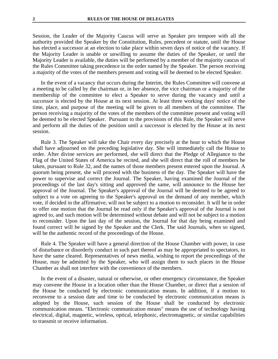Session, the Leader of the Majority Caucus will serve as Speaker pro tempore with all the authority provided the Speaker by the Constitution, Rules, precedent or statute, until the House has elected a successor at an election to take place within seven days of notice of the vacancy. If the Majority Leader is unable or unwilling to assume the duties of the Speaker, or until the Majority Leader is available, the duties will be performed by a member of the majority caucus of the Rules Committee taking precedence in the order named by the Speaker. The person receiving a majority of the votes of the members present and voting will be deemed to be elected Speaker.

In the event of a vacancy that occurs during the Interim, the Rules Committee will convene at a meeting to be called by the chairman or, in her absence, the vice chairman or a majority of the membership of the committee to elect a Speaker to serve during the vacancy and until a successor is elected by the House at its next session. At least three working days' notice of the time, place, and purpose of the meeting will be given to all members of the committee. The person receiving a majority of the votes of the members of the committee present and voting will be deemed to be elected Speaker. Pursuant to the provisions of this Rule, the Speaker will serve and perform all the duties of the position until a successor is elected by the House at its next session.

Rule 3. The Speaker will take the Chair every day precisely at the hour to which the House shall have adjourned on the preceding legislative day. She will immediately call the House to order. After divine services are performed, she will direct that the Pledge of Allegiance to the Flag of the United States of America be recited, and she will direct that the roll of members be taken, pursuant to Rule 32, and the names of those members present entered upon the Journal. A quorum being present, she will proceed with the business of the day. The Speaker will have the power to supervise and correct the Journal. The Speaker, having examined the Journal of the proceedings of the last day's sitting and approved the same, will announce to the House her approval of the Journal. The Speaker's approval of the Journal will be deemed to be agreed to subject to a vote on agreeing to the Speaker's approval on the demand of any member, which vote, if decided in the affirmative, will not be subject to a motion to reconsider. It will be in order to offer one motion that the Journal be read only if the Speaker's approval of the Journal is not agreed to, and such motion will be determined without debate and will not be subject to a motion to reconsider. Upon the last day of the session, the Journal for that day being examined and found correct will be signed by the Speaker and the Clerk. The said Journals, when so signed, will be the authentic record of the proceedings of the House.

Rule 4. The Speaker will have a general direction of the House Chamber with power, in case of disturbance or disorderly conduct in such part thereof as may be appropriated to spectators, to have the same cleared. Representatives of news media, wishing to report the proceedings of the House, may be admitted by the Speaker, who will assign them to such places in the House Chamber as shall not interfere with the convenience of the members.

In the event of a disaster, natural or otherwise, or other emergency circumstance, the Speaker may convene the House in a location other than the House Chamber, or direct that a session of the House be conducted by electronic communication means. In addition, if a motion to reconvene to a session date and time to be conducted by electronic communication means is adopted by the House, such session of the House shall be conducted by electronic communication means. "Electronic communication means" means the use of technology having electrical, digital, magnetic, wireless, optical, telephonic, electromagnetic, or similar capabilities to transmit or receive information.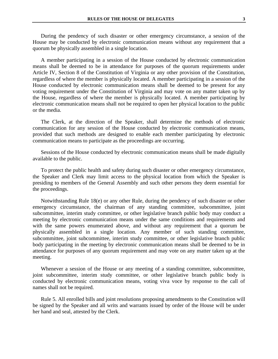During the pendency of such disaster or other emergency circumstance, a session of the House may be conducted by electronic communication means without any requirement that a quorum be physically assembled in a single location.

A member participating in a session of the House conducted by electronic communication means shall be deemed to be in attendance for purposes of the quorum requirements under Article IV, Section 8 of the Constitution of Virginia or any other provision of the Constitution, regardless of where the member is physically located. A member participating in a session of the House conducted by electronic communication means shall be deemed to be present for any voting requirement under the Constitution of Virginia and may vote on any matter taken up by the House, regardless of where the member is physically located. A member participating by electronic communication means shall not be required to open her physical location to the public or the media.

The Clerk, at the direction of the Speaker, shall determine the methods of electronic communication for any session of the House conducted by electronic communication means, provided that such methods are designed to enable each member participating by electronic communication means to participate as the proceedings are occurring.

Sessions of the House conducted by electronic communication means shall be made digitally available to the public.

To protect the public health and safety during such disaster or other emergency circumstance, the Speaker and Clerk may limit access to the physical location from which the Speaker is presiding to members of the General Assembly and such other persons they deem essential for the proceedings.

Notwithstanding Rule 18(e) or any other Rule, during the pendency of such disaster or other emergency circumstance, the chairman of any standing committee, subcommittee, joint subcommittee, interim study committee, or other legislative branch public body may conduct a meeting by electronic communication means under the same conditions and requirements and with the same powers enumerated above, and without any requirement that a quorum be physically assembled in a single location. Any member of such standing committee, subcommittee, joint subcommittee, interim study committee, or other legislative branch public body participating in the meeting by electronic communication means shall be deemed to be in attendance for purposes of any quorum requirement and may vote on any matter taken up at the meeting.

Whenever a session of the House or any meeting of a standing committee, subcommittee, joint subcommittee, interim study committee, or other legislative branch public body is conducted by electronic communication means, voting viva voce by response to the call of names shall not be required.

Rule 5. All enrolled bills and joint resolutions proposing amendments to the Constitution will be signed by the Speaker and all writs and warrants issued by order of the House will be under her hand and seal, attested by the Clerk.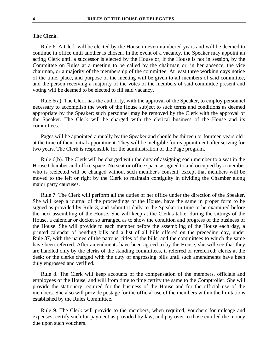#### **The Clerk.**

Rule 6. A Clerk will be elected by the House in even-numbered years and will be deemed to continue in office until another is chosen. In the event of a vacancy, the Speaker may appoint an acting Clerk until a successor is elected by the House or, if the House is not in session, by the Committee on Rules at a meeting to be called by the chairman or, in her absence, the vice chairman, or a majority of the membership of the committee. At least three working days notice of the time, place, and purpose of the meeting will be given to all members of said committee, and the person receiving a majority of the votes of the members of said committee present and voting will be deemed to be elected to fill said vacancy.

Rule 6(a). The Clerk has the authority, with the approval of the Speaker, to employ personnel necessary to accomplish the work of the House subject to such terms and conditions as deemed appropriate by the Speaker; such personnel may be removed by the Clerk with the approval of the Speaker. The Clerk will be charged with the clerical business of the House and its committees.

Pages will be appointed annually by the Speaker and should be thirteen or fourteen years old at the time of their initial appointment. They will be ineligible for reappointment after serving for two years. The Clerk is responsible for the administration of the Page program.

Rule 6(b). The Clerk will be charged with the duty of assigning each member to a seat in the House Chamber and office space. No seat or office space assigned to and occupied by a member who is reelected will be changed without such member's consent, except that members will be moved to the left or right by the Clerk to maintain contiguity in dividing the Chamber along major party caucuses.

Rule 7. The Clerk will perform all the duties of her office under the direction of the Speaker. She will keep a journal of the proceedings of the House, have the same in proper form to be signed as provided by Rule 3, and submit it daily to the Speaker in time to be examined before the next assembling of the House. She will keep at the Clerk's table, during the sittings of the House, a calendar or docket so arranged as to show the condition and progress of the business of the House. She will provide to each member before the assembling of the House each day, a printed calendar of pending bills and a list of all bills offered on the preceding day, under Rule 37, with the names of the patrons, titles of the bills, and the committees to which the same have been referred. After amendments have been agreed to by the House, she will see that they are handled only by the clerks of the standing committees, if referred or rereferred; clerks at the desk; or the clerks charged with the duty of engrossing bills until such amendments have been duly engrossed and verified.

Rule 8. The Clerk will keep accounts of the compensation of the members, officials and employees of the House, and will from time to time certify the same to the Comptroller. She will provide the stationery required for the business of the House and for the official use of the members. She also will provide postage for the official use of the members within the limitations established by the Rules Committee.

Rule 9. The Clerk will provide to the members, when required, vouchers for mileage and expenses; certify such for payment as provided by law; and pay over to those entitled the money due upon such vouchers.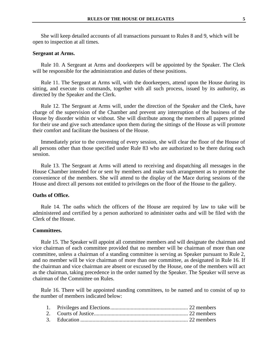She will keep detailed accounts of all transactions pursuant to Rules 8 and 9, which will be open to inspection at all times.

#### **Sergeant at Arms.**

Rule 10. A Sergeant at Arms and doorkeepers will be appointed by the Speaker. The Clerk will be responsible for the administration and duties of these positions.

Rule 11. The Sergeant at Arms will, with the doorkeepers, attend upon the House during its sitting, and execute its commands, together with all such process, issued by its authority, as directed by the Speaker and the Clerk.

Rule 12. The Sergeant at Arms will, under the direction of the Speaker and the Clerk, have charge of the supervision of the Chamber and prevent any interruption of the business of the House by disorder within or without. She will distribute among the members all papers printed for their use and give such attendance upon them during the sittings of the House as will promote their comfort and facilitate the business of the House.

Immediately prior to the convening of every session, she will clear the floor of the House of all persons other than those specified under Rule 83 who are authorized to be there during each session.

Rule 13. The Sergeant at Arms will attend to receiving and dispatching all messages in the House Chamber intended for or sent by members and make such arrangement as to promote the convenience of the members. She will attend to the display of the Mace during sessions of the House and direct all persons not entitled to privileges on the floor of the House to the gallery.

#### **Oaths of Office.**

Rule 14. The oaths which the officers of the House are required by law to take will be administered and certified by a person authorized to administer oaths and will be filed with the Clerk of the House.

#### **Committees.**

Rule 15. The Speaker will appoint all committee members and will designate the chairman and vice chairman of each committee provided that no member will be chairman of more than one committee, unless a chairman of a standing committee is serving as Speaker pursuant to Rule 2, and no member will be vice chairman of more than one committee, as designated in Rule 16. If the chairman and vice chairman are absent or excused by the House, one of the members will act as the chairman, taking precedence in the order named by the Speaker. The Speaker will serve as chairman of the Committee on Rules.

Rule 16. There will be appointed standing committees, to be named and to consist of up to the number of members indicated below: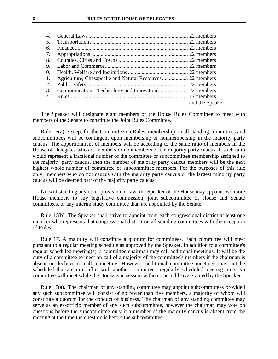| 4.  |                 |
|-----|-----------------|
| -5. |                 |
| 6.  |                 |
| 7.  |                 |
| 8.  |                 |
| -9. |                 |
| 10. |                 |
| 11. |                 |
| 12. |                 |
| 13. |                 |
| 14. |                 |
|     | and the Speaker |

The Speaker will designate eight members of the House Rules Committee to meet with members of the Senate to constitute the Joint Rules Committee.

Rule 16(a). Except for the Committee on Rules, membership on all standing committees and subcommittees will be contingent upon membership or nonmembership in the majority party caucus. The apportionment of members will be according to the same ratio of members in the House of Delegates who are members or nonmembers of the majority party caucus. If such ratio would represent a fractional number of the committee or subcommittee membership assigned to the majority party caucus, then the number of majority party caucus members will be the next highest whole number of committee or subcommittee members. For the purposes of this rule only, members who do not caucus with the majority party caucus or the largest minority party caucus will be deemed part of the majority party caucus.

Notwithstanding any other provision of law, the Speaker of the House may appoint two more House members to any legislative commission, joint subcommittee of House and Senate committees, or any interim study committee than are appointed by the Senate.

Rule 16(b). The Speaker shall strive to appoint from each congressional district at least one member who represents that congressional district on all standing committees with the exception of Rules.

Rule 17. A majority will constitute a quorum for committees. Each committee will meet pursuant to a regular meeting schedule as approved by the Speaker. In addition to a committee's regular scheduled meeting(s), a committee chairman may call additional meetings. It will be the duty of a committee to meet on call of a majority of the committee's members if the chairman is absent or declines to call a meeting. However, additional committee meetings may not be scheduled that are in conflict with another committee's regularly scheduled meeting time. No committee will meet while the House is in session without special leave granted by the Speaker.

Rule 17(a). The chairman of any standing committee may appoint subcommittees provided any such subcommittee will consist of no fewer than five members, a majority of whom will constitute a quorum for the conduct of business. The chairman of any standing committee may serve as an ex-officio member of any such subcommittee, however the chairman may vote on questions before the subcommittee only if a member of the majority caucus is absent from the meeting at the time the question is before the subcommittee.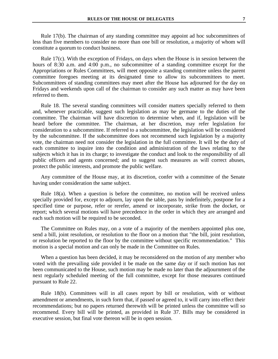Rule 17(b). The chairman of any standing committee may appoint ad hoc subcommittees of less than five members to consider no more than one bill or resolution, a majority of whom will constitute a quorum to conduct business.

Rule 17(c). With the exception of Fridays, on days when the House is in session between the hours of 8:30 a.m. and 4:00 p.m., no subcommittee of a standing committee except for the Appropriations or Rules Committees, will meet opposite a standing committee unless the parent committee foregoes meeting at its designated time to allow its subcommittees to meet. Subcommittees of standing committees may meet after the House has adjourned for the day on Fridays and weekends upon call of the chairman to consider any such matter as may have been referred to them.

Rule 18. The several standing committees will consider matters specially referred to them and, whenever practicable, suggest such legislation as may be germane to the duties of the committee. The chairman will have discretion to determine when, and if, legislation will be heard before the committee. The chairman, at her discretion, may refer legislation for consideration to a subcommittee. If referred to a subcommittee, the legislation will be considered by the subcommittee. If the subcommittee does not recommend such legislation by a majority vote, the chairman need not consider the legislation in the full committee. It will be the duty of each committee to inquire into the condition and administration of the laws relating to the subjects which it has in its charge; to investigate the conduct and look to the responsibility of all public officers and agents concerned; and to suggest such measures as will correct abuses, protect the public interests, and promote the public welfare.

Any committee of the House may, at its discretion, confer with a committee of the Senate having under consideration the same subject.

Rule 18(a). When a question is before the committee, no motion will be received unless specially provided for, except to adjourn, lay upon the table, pass by indefinitely, postpone for a specified time or purpose, refer or rerefer, amend or incorporate, strike from the docket, or report; which several motions will have precedence in the order in which they are arranged and each such motion will be required to be seconded.

The Committee on Rules may, on a vote of a majority of the members appointed plus one, send a bill, joint resolution, or resolution to the floor on a motion that "the bill, joint resolution, or resolution be reported to the floor by the committee without specific recommendation." This motion is a special motion and can only be made in the Committee on Rules.

When a question has been decided, it may be reconsidered on the motion of any member who voted with the prevailing side provided it be made on the same day or if such motion has not been communicated to the House, such motion may be made no later than the adjournment of the next regularly scheduled meeting of the full committee, except for those measures continued pursuant to Rule 22.

Rule 18(b). Committees will in all cases report by bill or resolution, with or without amendment or amendments, in such form that, if passed or agreed to, it will carry into effect their recommendations; but no papers returned therewith will be printed unless the committee will so recommend. Every bill will be printed, as provided in Rule 37. Bills may be considered in executive session, but final vote thereon will be in open session.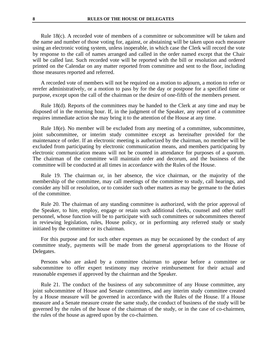Rule 18(c). A recorded vote of members of a committee or subcommittee will be taken and the name and number of those voting for, against, or abstaining will be taken upon each measure using an electronic voting system, unless inoperable, in which case the Clerk will record the vote by response to the call of names arranged and called in the order named except that the Chair will be called last. Such recorded vote will be reported with the bill or resolution and ordered printed on the Calendar on any matter reported from committee and sent to the floor, including those measures reported and referred.

A recorded vote of members will not be required on a motion to adjourn, a motion to refer or rerefer administratively, or a motion to pass by for the day or postpone for a specified time or purpose, except upon the call of the chairman or the desire of one-fifth of the members present.

Rule 18(d). Reports of the committees may be handed to the Clerk at any time and may be disposed of in the morning hour. If, in the judgment of the Speaker, any report of a committee requires immediate action she may bring it to the attention of the House at any time.

Rule 18(e). No member will be excluded from any meeting of a committee, subcommittee, joint subcommittee, or interim study committee except as hereinafter provided for the maintenance of order. If an electronic meeting is authorized by the chairman, no member will be excluded from participating by electronic communication means, and members participating by electronic communication means will not be counted in attendance for purposes of a quorum. The chairman of the committee will maintain order and decorum, and the business of the committee will be conducted at all times in accordance with the Rules of the House.

Rule 19. The chairman or, in her absence, the vice chairman, or the majority of the membership of the committee, may call meetings of the committee to study, call hearings, and consider any bill or resolution, or to consider such other matters as may be germane to the duties of the committee.

Rule 20. The chairman of any standing committee is authorized, with the prior approval of the Speaker, to hire, employ, engage or retain such additional clerks, counsel and other staff personnel, whose function will be to participate with such committees or subcommittees thereof in reviewing legislation, rules, House policy, or in performing any referred study or study initiated by the committee or its chairman.

For this purpose and for such other expenses as may be occasioned by the conduct of any committee study, payments will be made from the general appropriations to the House of Delegates.

Persons who are asked by a committee chairman to appear before a committee or subcommittee to offer expert testimony may receive reimbursement for their actual and reasonable expenses if approved by the chairman and the Speaker.

Rule 21. The conduct of the business of any subcommittee of any House committee, any joint subcommittee of House and Senate committees, and any interim study committee created by a House measure will be governed in accordance with the Rules of the House. If a House measure and a Senate measure create the same study, the conduct of business of the study will be governed by the rules of the house of the chairman of the study, or in the case of co-chairmen, the rules of the house as agreed upon by the co-chairmen.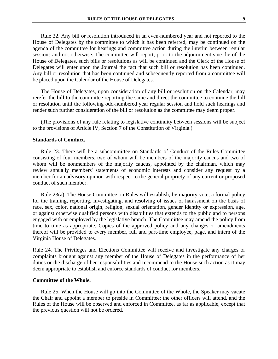Rule 22. Any bill or resolution introduced in an even-numbered year and not reported to the House of Delegates by the committee to which it has been referred, may be continued on the agenda of the committee for hearings and committee action during the interim between regular sessions and not otherwise. The committee will report, prior to the adjournment sine die of the House of Delegates, such bills or resolutions as will be continued and the Clerk of the House of Delegates will enter upon the Journal the fact that such bill or resolution has been continued. Any bill or resolution that has been continued and subsequently reported from a committee will be placed upon the Calendar of the House of Delegates.

The House of Delegates, upon consideration of any bill or resolution on the Calendar, may rerefer the bill to the committee reporting the same and direct the committee to continue the bill or resolution until the following odd-numbered year regular session and hold such hearings and render such further consideration of the bill or resolution as the committee may deem proper.

(The provisions of any rule relating to legislative continuity between sessions will be subject to the provisions of Article IV, Section 7 of the Constitution of Virginia.)

#### **Standards of Conduct.**

Rule 23. There will be a subcommittee on Standards of Conduct of the Rules Committee consisting of four members, two of whom will be members of the majority caucus and two of whom will be nonmembers of the majority caucus, appointed by the chairman, which may review annually members' statements of economic interests and consider any request by a member for an advisory opinion with respect to the general propriety of any current or proposed conduct of such member.

Rule 23(a). The House Committee on Rules will establish, by majority vote, a formal policy for the training, reporting, investigating, and resolving of issues of harassment on the basis of race, sex, color, national origin, religion, sexual orientation, gender identity or expression, age, or against otherwise qualified persons with disabilities that extends to the public and to persons engaged with or employed by the legislative branch. The Committee may amend the policy from time to time as appropriate. Copies of the approved policy and any changes or amendments thereof will be provided to every member, full and part-time employee, page, and intern of the Virginia House of Delegates.

Rule 24. The Privileges and Elections Committee will receive and investigate any charges or complaints brought against any member of the House of Delegates in the performance of her duties or the discharge of her responsibilities and recommend to the House such action as it may deem appropriate to establish and enforce standards of conduct for members.

#### **Committee of the Whole.**

Rule 25. When the House will go into the Committee of the Whole, the Speaker may vacate the Chair and appoint a member to preside in Committee; the other officers will attend, and the Rules of the House will be observed and enforced in Committee, as far as applicable, except that the previous question will not be ordered.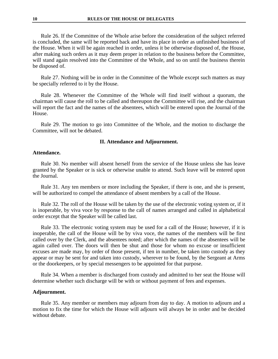Rule 26. If the Committee of the Whole arise before the consideration of the subject referred is concluded, the same will be reported back and have its place in order as unfinished business of the House. When it will be again reached in order, unless it be otherwise disposed of, the House, after making such orders as it may deem proper in relation to the business before the Committee, will stand again resolved into the Committee of the Whole, and so on until the business therein be disposed of.

Rule 27. Nothing will be in order in the Committee of the Whole except such matters as may be specially referred to it by the House.

Rule 28. Whenever the Committee of the Whole will find itself without a quorum, the chairman will cause the roll to be called and thereupon the Committee will rise, and the chairman will report the fact and the names of the absentees, which will be entered upon the Journal of the House.

Rule 29. The motion to go into Committee of the Whole, and the motion to discharge the Committee, will not be debated.

#### **II. Attendance and Adjournment.**

#### **Attendance.**

Rule 30. No member will absent herself from the service of the House unless she has leave granted by the Speaker or is sick or otherwise unable to attend. Such leave will be entered upon the Journal.

Rule 31. Any ten members or more including the Speaker, if there is one, and she is present, will be authorized to compel the attendance of absent members by a call of the House.

Rule 32. The roll of the House will be taken by the use of the electronic voting system or, if it is inoperable, by viva voce by response to the call of names arranged and called in alphabetical order except that the Speaker will be called last.

Rule 33. The electronic voting system may be used for a call of the House; however, if it is inoperable, the call of the House will be by viva voce, the names of the members will be first called over by the Clerk, and the absentees noted; after which the names of the absentees will be again called over. The doors will then be shut and those for whom no excuse or insufficient excuses are made may, by order of those present, if ten in number, be taken into custody as they appear or may be sent for and taken into custody, wherever to be found, by the Sergeant at Arms or the doorkeepers, or by special messengers to be appointed for that purpose.

Rule 34. When a member is discharged from custody and admitted to her seat the House will determine whether such discharge will be with or without payment of fees and expenses.

#### **Adjournment.**

Rule 35. Any member or members may adjourn from day to day. A motion to adjourn and a motion to fix the time for which the House will adjourn will always be in order and be decided without debate.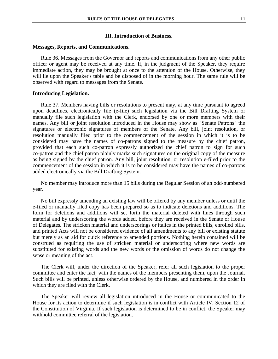#### **III. Introduction of Business.**

#### **Messages, Reports, and Communications.**

Rule 36. Messages from the Governor and reports and communications from any other public officer or agent may be received at any time. If, in the judgment of the Speaker, they require immediate action, they may be brought at once to the attention of the House. Otherwise, they will lie upon the Speaker's table and be disposed of in the morning hour. The same rule will be observed with regard to messages from the Senate.

#### **Introducing Legislation.**

Rule 37. Members having bills or resolutions to present may, at any time pursuant to agreed upon deadlines, electronically file (e-file) such legislation via the Bill Drafting System or manually file such legislation with the Clerk, endorsed by one or more members with their names. Any bill or joint resolution introduced in the House may show as "Senate Patrons" the signatures or electronic signatures of members of the Senate. Any bill, joint resolution, or resolution manually filed prior to the commencement of the session in which it is to be considered may have the names of co-patrons signed to the measure by the chief patron, provided that each such co-patron expressly authorized the chief patron to sign for such co-patron and the chief patron plainly marks such signatures on the original copy of the measure as being signed by the chief patron. Any bill, joint resolution, or resolution e-filed prior to the commencement of the session in which it is to be considered may have the names of co-patrons added electronically via the Bill Drafting System.

No member may introduce more than 15 bills during the Regular Session of an odd-numbered year.

No bill expressly amending an existing law will be offered by any member unless or until the e-filed or manually filed copy has been prepared so as to indicate deletions and additions. The form for deletions and additions will set forth the material deleted with lines through such material and by underscoring the words added, before they are received in the Senate or House of Delegates. The stricken material and underscorings or italics in the printed bills, enrolled bills, and printed Acts will not be considered evidence of all amendments to any bill or existing statute but merely as an aid for quick reference to amended portions. Nothing herein contained will be construed as requiring the use of stricken material or underscoring where new words are substituted for existing words and the new words or the omission of words do not change the sense or meaning of the act.

The Clerk will, under the direction of the Speaker, refer all such legislation to the proper committee and enter the fact, with the names of the members presenting them, upon the Journal. Such bills will be printed, unless otherwise ordered by the House, and numbered in the order in which they are filed with the Clerk.

The Speaker will review all legislation introduced in the House or communicated to the House for its action to determine if such legislation is in conflict with Article IV, Section 12 of the Constitution of Virginia. If such legislation is determined to be in conflict, the Speaker may withhold committee referral of the legislation.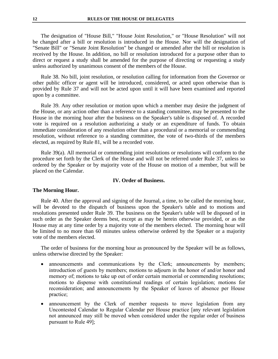The designation of "House Bill," "House Joint Resolution," or "House Resolution" will not be changed after a bill or resolution is introduced in the House. Nor will the designation of "Senate Bill" or "Senate Joint Resolution" be changed or amended after the bill or resolution is received by the House. In addition, no bill or resolution introduced for a purpose other than to direct or request a study shall be amended for the purpose of directing or requesting a study unless authorized by unanimous consent of the members of the House.

Rule 38. No bill, joint resolution, or resolution calling for information from the Governor or other public officer or agent will be introduced, considered, or acted upon otherwise than is provided by Rule 37 and will not be acted upon until it will have been examined and reported upon by a committee.

Rule 39. Any other resolution or motion upon which a member may desire the judgment of the House, or any action other than a reference to a standing committee, may be presented to the House in the morning hour after the business on the Speaker's table is disposed of. A recorded vote is required on a resolution authorizing a study or an expenditure of funds. To obtain immediate consideration of any resolution other than a procedural or a memorial or commending resolution, without reference to a standing committee, the vote of two-thirds of the members elected, as required by Rule 81, will be a recorded vote.

Rule 39(a). All memorial or commending joint resolutions or resolutions will conform to the procedure set forth by the Clerk of the House and will not be referred under Rule 37, unless so ordered by the Speaker or by majority vote of the House on motion of a member, but will be placed on the Calendar.

#### **IV. Order of Business.**

#### **The Morning Hour.**

Rule 40. After the approval and signing of the Journal, a time, to be called the morning hour, will be devoted to the dispatch of business upon the Speaker's table and to motions and resolutions presented under Rule 39. The business on the Speaker's table will be disposed of in such order as the Speaker deems best, except as may be herein otherwise provided, or as the House may at any time order by a majority vote of the members elected. The morning hour will be limited to no more than 60 minutes unless otherwise ordered by the Speaker or a majority vote of the members elected.

The order of business for the morning hour as pronounced by the Speaker will be as follows, unless otherwise directed by the Speaker:

- announcements and communications by the Clerk; announcements by members; introduction of guests by members; motions to adjourn in the honor of and/or honor and memory of; motions to take up out of order certain memorial or commending resolutions; motions to dispense with constitutional readings of certain legislation; motions for reconsideration; and announcements by the Speaker of leaves of absence per House practice;
- announcement by the Clerk of member requests to move legislation from any Uncontested Calendar to Regular Calendar per House practice [any relevant legislation not announced may still be moved when considered under the regular order of business pursuant to Rule 49];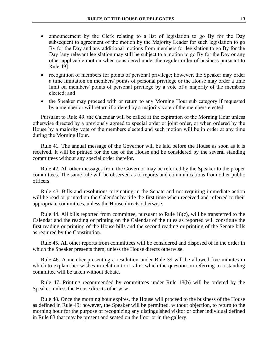- announcement by the Clerk relating to a list of legislation to go By for the Day subsequent to agreement of the motion by the Majority Leader for such legislation to go By for the Day and any additional motions from members for legislation to go By for the Day [any relevant legislation may still be subject to a motion to go By for the Day or any other applicable motion when considered under the regular order of business pursuant to Rule 49];
- recognition of members for points of personal privilege; however, the Speaker may order a time limitation on members' points of personal privilege or the House may order a time limit on members' points of personal privilege by a vote of a majority of the members elected; and
- the Speaker may proceed with or return to any Morning Hour sub category if requested by a member or will return if ordered by a majority vote of the members elected.

Pursuant to Rule 49, the Calendar will be called at the expiration of the Morning Hour unless otherwise directed by a previously agreed to special order or joint order, or when ordered by the House by a majority vote of the members elected and such motion will be in order at any time during the Morning Hour.

Rule 41. The annual message of the Governor will be laid before the House as soon as it is received. It will be printed for the use of the House and be considered by the several standing committees without any special order therefor.

Rule 42. All other messages from the Governor may be referred by the Speaker to the proper committees. The same rule will be observed as to reports and communications from other public officers.

Rule 43. Bills and resolutions originating in the Senate and not requiring immediate action will be read or printed on the Calendar by title the first time when received and referred to their appropriate committees, unless the House directs otherwise.

Rule 44. All bills reported from committee, pursuant to Rule 18(c), will be transferred to the Calendar and the reading or printing on the Calendar of the titles as reported will constitute the first reading or printing of the House bills and the second reading or printing of the Senate bills as required by the Constitution.

Rule 45. All other reports from committees will be considered and disposed of in the order in which the Speaker presents them, unless the House directs otherwise.

Rule 46. A member presenting a resolution under Rule 39 will be allowed five minutes in which to explain her wishes in relation to it, after which the question on referring to a standing committee will be taken without debate.

Rule 47. Printing recommended by committees under Rule 18(b) will be ordered by the Speaker, unless the House directs otherwise.

Rule 48. Once the morning hour expires, the House will proceed to the business of the House as defined in Rule 49; however, the Speaker will be permitted, without objection, to return to the morning hour for the purpose of recognizing any distinguished visitor or other individual defined in Rule 83 that may be present and seated on the floor or in the gallery.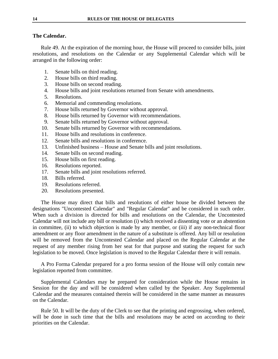### **The Calendar.**

Rule 49. At the expiration of the morning hour, the House will proceed to consider bills, joint resolutions, and resolutions on the Calendar or any Supplemental Calendar which will be arranged in the following order:

- 1. Senate bills on third reading.
- 2. House bills on third reading.
- 3. House bills on second reading.
- 4. House bills and joint resolutions returned from Senate with amendments.
- 5. Resolutions.
- 6. Memorial and commending resolutions.
- 7. House bills returned by Governor without approval.
- 8. House bills returned by Governor with recommendations.
- 9. Senate bills returned by Governor without approval.
- 10. Senate bills returned by Governor with recommendations.
- 11. House bills and resolutions in conference.
- 12. Senate bills and resolutions in conference.
- 13. Unfinished business House and Senate bills and joint resolutions.
- 14. Senate bills on second reading.
- 15. House bills on first reading.
- 16. Resolutions reported.
- 17. Senate bills and joint resolutions referred.
- 18. Bills referred.
- 19. Resolutions referred.
- 20. Resolutions presented.

The House may direct that bills and resolutions of either house be divided between the designations "Uncontested Calendar" and "Regular Calendar" and be considered in such order. When such a division is directed for bills and resolutions on the Calendar, the Uncontested Calendar will not include any bill or resolution (i) which received a dissenting vote or an abstention in committee, (ii) to which objection is made by any member, or (iii) if any non-technical floor amendment or any floor amendment in the nature of a substitute is offered. Any bill or resolution will be removed from the Uncontested Calendar and placed on the Regular Calendar at the request of any member rising from her seat for that purpose and stating the request for such legislation to be moved. Once legislation is moved to the Regular Calendar there it will remain.

A Pro Forma Calendar prepared for a pro forma session of the House will only contain new legislation reported from committee.

Supplemental Calendars may be prepared for consideration while the House remains in Session for the day and will be considered when called by the Speaker. Any Supplemental Calendar and the measures contained therein will be considered in the same manner as measures on the Calendar.

Rule 50. It will be the duty of the Clerk to see that the printing and engrossing, when ordered, will be done in such time that the bills and resolutions may be acted on according to their priorities on the Calendar.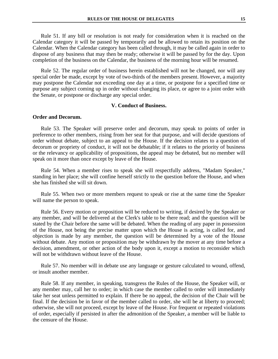Rule 51. If any bill or resolution is not ready for consideration when it is reached on the Calendar category it will be passed by temporarily and be allowed to retain its position on the Calendar. When the Calendar category has been called through, it may be called again in order to dispose of any business that may then be ready; otherwise it will be passed by for the day. Upon completion of the business on the Calendar, the business of the morning hour will be resumed.

Rule 52. The regular order of business herein established will not be changed, nor will any special order be made, except by vote of two-thirds of the members present. However, a majority may postpone the Calendar not exceeding one day at a time, or postpone for a specified time or purpose any subject coming up in order without changing its place, or agree to a joint order with the Senate, or postpone or discharge any special order.

#### **V. Conduct of Business.**

#### **Order and Decorum.**

Rule 53. The Speaker will preserve order and decorum, may speak to points of order in preference to other members, rising from her seat for that purpose, and will decide questions of order without debate, subject to an appeal to the House. If the decision relates to a question of decorum or propriety of conduct, it will not be debatable; if it relates to the priority of business or the relevancy or applicability of propositions, the appeal may be debated, but no member will speak on it more than once except by leave of the House.

Rule 54. When a member rises to speak she will respectfully address, "Madam Speaker," standing in her place; she will confine herself strictly to the question before the House, and when she has finished she will sit down.

Rule 55. When two or more members request to speak or rise at the same time the Speaker will name the person to speak.

Rule 56. Every motion or proposition will be reduced to writing, if desired by the Speaker or any member, and will be delivered at the Clerk's table to be there read; and the question will be stated by the Chair before the same will be debated. When the reading of any paper in possession of the House, not being the precise matter upon which the House is acting, is called for, and objection is made by any member, the question will be determined by a vote of the House without debate. Any motion or proposition may be withdrawn by the mover at any time before a decision, amendment, or other action of the body upon it, except a motion to reconsider which will not be withdrawn without leave of the House.

Rule 57. No member will in debate use any language or gesture calculated to wound, offend, or insult another member.

Rule 58. If any member, in speaking, transgress the Rules of the House, the Speaker will, or any member may, call her to order; in which case the member called to order will immediately take her seat unless permitted to explain. If there be no appeal, the decision of the Chair will be final. If the decision be in favor of the member called to order, she will be at liberty to proceed; otherwise, she will not proceed, except by leave of the House. For frequent or repeated violations of order, especially if persisted in after the admonition of the Speaker, a member will be liable to the censure of the House.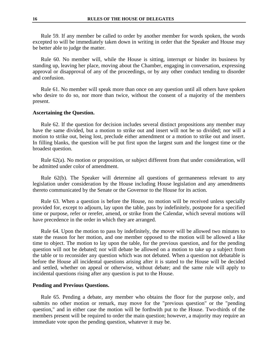Rule 59. If any member be called to order by another member for words spoken, the words excepted to will be immediately taken down in writing in order that the Speaker and House may be better able to judge the matter.

Rule 60. No member will, while the House is sitting, interrupt or hinder its business by standing up, leaving her place, moving about the Chamber, engaging in conversation, expressing approval or disapproval of any of the proceedings, or by any other conduct tending to disorder and confusion.

Rule 61. No member will speak more than once on any question until all others have spoken who desire to do so, nor more than twice, without the consent of a majority of the members present.

#### **Ascertaining the Question.**

Rule 62. If the question for decision includes several distinct propositions any member may have the same divided, but a motion to strike out and insert will not be so divided; nor will a motion to strike out, being lost, preclude either amendment or a motion to strike out and insert. In filling blanks, the question will be put first upon the largest sum and the longest time or the broadest question.

Rule 62(a). No motion or proposition, or subject different from that under consideration, will be admitted under color of amendment.

Rule 62(b). The Speaker will determine all questions of germaneness relevant to any legislation under consideration by the House including House legislation and any amendments thereto communicated by the Senate or the Governor to the House for its action.

Rule 63. When a question is before the House, no motion will be received unless specially provided for, except to adjourn, lay upon the table, pass by indefinitely, postpone for a specified time or purpose, refer or rerefer, amend, or strike from the Calendar, which several motions will have precedence in the order in which they are arranged.

Rule 64. Upon the motion to pass by indefinitely, the mover will be allowed two minutes to state the reason for her motion, and one member opposed to the motion will be allowed a like time to object. The motion to lay upon the table, for the previous question, and for the pending question will not be debated; nor will debate be allowed on a motion to take up a subject from the table or to reconsider any question which was not debated. When a question not debatable is before the House all incidental questions arising after it is stated to the House will be decided and settled, whether on appeal or otherwise, without debate; and the same rule will apply to incidental questions rising after any question is put to the House.

#### **Pending and Previous Questions.**

Rule 65. Pending a debate, any member who obtains the floor for the purpose only, and submits no other motion or remark, may move for the "previous question" or the "pending question," and in either case the motion will be forthwith put to the House. Two-thirds of the members present will be required to order the main question; however, a majority may require an immediate vote upon the pending question, whatever it may be.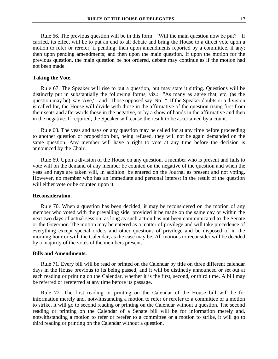Rule 66. The previous question will be in this form: "Will the main question now be put?" If carried, its effect will be to put an end to all debate and bring the House to a direct vote upon a motion to refer or rerefer, if pending; then upon amendments reported by a committee, if any; then upon pending amendments; and then upon the main question. If upon the motion for the previous question, the main question be not ordered, debate may continue as if the motion had not been made.

#### **Taking the Vote.**

Rule 67. The Speaker will rise to put a question, but may state it sitting. Questions will be distinctly put in substantially the following forms, viz.: "As many as agree that, etc. (as the question may be), say 'Aye,' " and "Those opposed say 'No.' " If the Speaker doubts or a division is called for, the House will divide with those in the affirmative of the question rising first from their seats and afterwards those in the negative, or by a show of hands in the affirmative and then in the negative. If required, the Speaker will cause the result to be ascertained by a count.

Rule 68. The yeas and nays on any question may be called for at any time before proceeding to another question or proposition but, being refused, they will not be again demanded on the same question. Any member will have a right to vote at any time before the decision is announced by the Chair.

Rule 69. Upon a division of the House on any question, a member who is present and fails to vote will on the demand of any member be counted on the negative of the question and when the yeas and nays are taken will, in addition, be entered on the Journal as present and not voting. However, no member who has an immediate and personal interest in the result of the question will either vote or be counted upon it.

#### **Reconsideration.**

Rule 70. When a question has been decided, it may be reconsidered on the motion of any member who voted with the prevailing side, provided it be made on the same day or within the next two days of actual session, as long as such action has not been communicated to the Senate or the Governor. The motion may be entered as a matter of privilege and will take precedence of everything except special orders and other questions of privilege and be disposed of in the morning hour or with the Calendar, as the case may be. All motions to reconsider will be decided by a majority of the votes of the members present.

#### **Bills and Amendments.**

Rule 71. Every bill will be read or printed on the Calendar by title on three different calendar days in the House previous to its being passed, and it will be distinctly announced or set out at each reading or printing on the Calendar, whether it is the first, second, or third time. A bill may be referred or rereferred at any time before its passage.

Rule 72. The first reading or printing on the Calendar of the House bill will be for information merely and, notwithstanding a motion to refer or rerefer to a committee or a motion to strike, it will go to second reading or printing on the Calendar without a question. The second reading or printing on the Calendar of a Senate bill will be for information merely and, notwithstanding a motion to refer or rerefer to a committee or a motion to strike, it will go to third reading or printing on the Calendar without a question.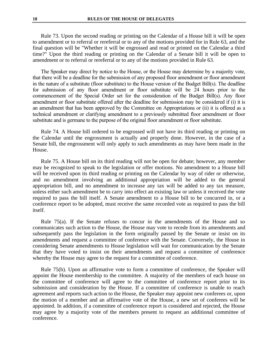Rule 73. Upon the second reading or printing on the Calendar of a House bill it will be open to amendment or to referral or rereferral or to any of the motions provided for in Rule 63, and the final question will be "Whether it will be engrossed and read or printed on the Calendar a third time?" Upon the third reading or printing on the Calendar of a Senate bill it will be open to amendment or to referral or rereferral or to any of the motions provided in Rule 63.

The Speaker may direct by notice to the House, or the House may determine by a majority vote, that there will be a deadline for the submission of any proposed floor amendment or floor amendment in the nature of a substitute (floor substitute) to the House version of the Budget Bill(s). The deadline for submission of any floor amendment or floor substitute will be 24 hours prior to the commencement of the Special Order set for the consideration of the Budget Bill(s). Any floor amendment or floor substitute offered after the deadline for submission may be considered if (i) it is an amendment that has been approved by the Committee on Appropriations or (ii) it is offered as a technical amendment or clarifying amendment to a previously submitted floor amendment or floor substitute and is germane to the purpose of the original floor amendment or floor substitute.

Rule 74. A House bill ordered to be engrossed will not have its third reading or printing on the Calendar until the engrossment is actually and properly done. However, in the case of a Senate bill, the engrossment will only apply to such amendments as may have been made in the House.

Rule 75. A House bill on its third reading will not be open for debate; however, any member may be recognized to speak to the legislation or offer motions. No amendment to a House bill will be received upon its third reading or printing on the Calendar by way of rider or otherwise, and no amendment involving an additional appropriation will be added to the general appropriation bill, and no amendment to increase any tax will be added to any tax measure, unless either such amendment be to carry into effect an existing law or unless it received the vote required to pass the bill itself. A Senate amendment to a House bill to be concurred in, or a conference report to be adopted, must receive the same recorded vote as required to pass the bill itself.

Rule 75(a). If the Senate refuses to concur in the amendments of the House and so communicates such action to the House, the House may vote to recede from its amendments and subsequently pass the legislation in the form originally passed by the Senate or insist on its amendments and request a committee of conference with the Senate. Conversely, the House in considering Senate amendments to House legislation will wait for communication by the Senate that they have voted to insist on their amendments and request a committee of conference whereby the House may agree to the request for a committee of conference.

Rule 75(b). Upon an affirmative vote to form a committee of conference, the Speaker will appoint the House membership to the committee. A majority of the members of each house on the committee of conference will agree to the committee of conference report prior to its submission and consideration by the House. If a committee of conference is unable to reach agreement and reports such action to the House, the Speaker may appoint new conferees or, upon the motion of a member and an affirmative vote of the House, a new set of conferees will be appointed. In addition, if a committee of conference report is considered and rejected, the House may agree by a majority vote of the members present to request an additional committee of conference.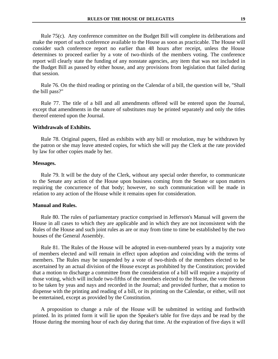Rule 75(c). Any conference committee on the Budget Bill will complete its deliberations and make the report of such conference available to the House as soon as practicable. The House will consider such conference report no earlier than 48 hours after receipt, unless the House determines to proceed earlier by a vote of two-thirds of the members voting. The conference report will clearly state the funding of any nonstate agencies, any item that was not included in the Budget Bill as passed by either house, and any provisions from legislation that failed during that session.

Rule 76. On the third reading or printing on the Calendar of a bill, the question will be, "Shall the bill pass?"

Rule 77. The title of a bill and all amendments offered will be entered upon the Journal, except that amendments in the nature of substitutes may be printed separately and only the titles thereof entered upon the Journal.

#### **Withdrawals of Exhibits.**

Rule 78. Original papers, filed as exhibits with any bill or resolution, may be withdrawn by the patron or she may leave attested copies, for which she will pay the Clerk at the rate provided by law for other copies made by her.

#### **Messages.**

Rule 79. It will be the duty of the Clerk, without any special order therefor, to communicate to the Senate any action of the House upon business coming from the Senate or upon matters requiring the concurrence of that body; however, no such communication will be made in relation to any action of the House while it remains open for consideration.

#### **Manual and Rules.**

Rule 80. The rules of parliamentary practice comprised in Jefferson's Manual will govern the House in all cases to which they are applicable and in which they are not inconsistent with the Rules of the House and such joint rules as are or may from time to time be established by the two houses of the General Assembly.

Rule 81. The Rules of the House will be adopted in even-numbered years by a majority vote of members elected and will remain in effect upon adoption and coinciding with the terms of members. The Rules may be suspended by a vote of two-thirds of the members elected to be ascertained by an actual division of the House except as prohibited by the Constitution; provided that a motion to discharge a committee from the consideration of a bill will require a majority of those voting, which will include two-fifths of the members elected to the House, the vote thereon to be taken by yeas and nays and recorded in the Journal; and provided further, that a motion to dispense with the printing and reading of a bill, or its printing on the Calendar, or either, will not be entertained, except as provided by the Constitution.

A proposition to change a rule of the House will be submitted in writing and forthwith printed. In its printed form it will lie upon the Speaker's table for five days and be read by the House during the morning hour of each day during that time. At the expiration of five days it will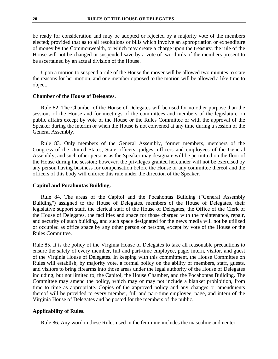be ready for consideration and may be adopted or rejected by a majority vote of the members elected; provided that as to all resolutions or bills which involve an appropriation or expenditure of money by the Commonwealth, or which may create a charge upon the treasury, the rule of the House will not be changed or suspended save by a vote of two-thirds of the members present to be ascertained by an actual division of the House.

Upon a motion to suspend a rule of the House the mover will be allowed two minutes to state the reasons for her motion, and one member opposed to the motion will be allowed a like time to object.

#### **Chamber of the House of Delegates.**

Rule 82. The Chamber of the House of Delegates will be used for no other purpose than the sessions of the House and for meetings of the committees and members of the legislature on public affairs except by vote of the House or the Rules Committee or with the approval of the Speaker during the interim or when the House is not convened at any time during a session of the General Assembly.

Rule 83. Only members of the General Assembly, former members, members of the Congress of the United States, State officers, judges, officers and employees of the General Assembly, and such other persons as the Speaker may designate will be permitted on the floor of the House during the session; however, the privileges granted hereunder will not be exercised by any person having business for compensation before the House or any committee thereof and the officers of this body will enforce this rule under the direction of the Speaker.

#### **Capitol and Pocahontas Building.**

Rule 84. The areas of the Capitol and the Pocahontas Building ("General Assembly Building") assigned to the House of Delegates, members of the House of Delegates, their legislative support staff, the clerical staff of the House of Delegates, the Office of the Clerk of the House of Delegates, the facilities and space for those charged with the maintenance, repair, and security of such building, and such space designated for the news media will not be utilized or occupied as office space by any other person or persons, except by vote of the House or the Rules Committee.

Rule 85. It is the policy of the Virginia House of Delegates to take all reasonable precautions to ensure the safety of every member, full and part-time employee, page, intern, visitor, and guest of the Virginia House of Delegates. In keeping with this commitment, the House Committee on Rules will establish, by majority vote, a formal policy on the ability of members, staff, guests, and visitors to bring firearms into those areas under the legal authority of the House of Delegates including, but not limited to, the Capitol, the House Chamber, and the Pocahontas Building. The Committee may amend the policy, which may or may not include a blanket prohibition, from time to time as appropriate. Copies of the approved policy and any changes or amendments thereof will be provided to every member, full and part-time employee, page, and intern of the Virginia House of Delegates and be posted for the members of the public.

#### **Applicability of Rules.**

Rule 86. Any word in these Rules used in the feminine includes the masculine and neuter.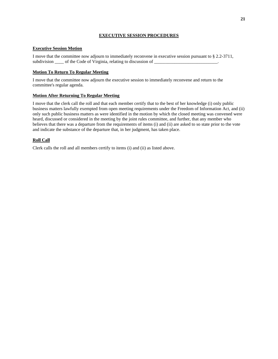#### **EXECUTIVE SESSION PROCEDURES**

#### **Executive Session Motion**

I move that the committee now adjourn to immediately reconvene in executive session pursuant to § 2.2-3711, subdivision \_\_\_\_\_ of the Code of Virginia, relating to discussion of \_\_\_\_\_\_\_\_\_\_\_\_

#### **Motion To Return To Regular Meeting**

I move that the committee now adjourn the executive session to immediately reconvene and return to the committee's regular agenda.

#### **Motion After Returning To Regular Meeting**

I move that the clerk call the roll and that each member certify that to the best of her knowledge (i) only public business matters lawfully exempted from open meeting requirements under the Freedom of Information Act, and (ii) only such public business matters as were identified in the motion by which the closed meeting was convened were heard, discussed or considered in the meeting by the joint rules committee, and further, that any member who believes that there was a departure from the requirements of items (i) and (ii) are asked to so state prior to the vote and indicate the substance of the departure that, in her judgment, has taken place.

#### **Roll Call**

Clerk calls the roll and all members certify to items (i) and (ii) as listed above.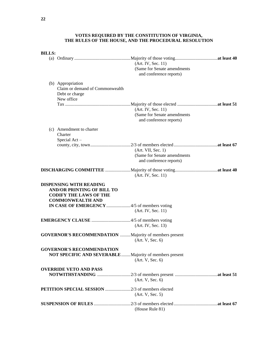#### **VOTES REQUIRED BY THE CONSTITUTION OF VIRGINIA, THE RULES OF THE HOUSE, AND THE PROCEDURAL RESOLUTION**

| <b>BILLS:</b> |                                                                                                                                 |                                                                              |
|---------------|---------------------------------------------------------------------------------------------------------------------------------|------------------------------------------------------------------------------|
|               |                                                                                                                                 | (Art. IV, Sec. 11)<br>(Same for Senate amendments<br>and conference reports) |
|               | (b) Appropriation<br>Claim or demand of Commonwealth<br>Debt or charge<br>New office                                            |                                                                              |
|               |                                                                                                                                 | (Art. IV, Sec. 11)<br>(Same for Senate amendments<br>and conference reports) |
|               | (c) Amendment to charter<br>Charter<br>Special $Act -$                                                                          |                                                                              |
|               |                                                                                                                                 | (Art. VII, Sec. 1)<br>(Same for Senate amendments<br>and conference reports) |
|               |                                                                                                                                 | (Art. IV, Sec. 11)                                                           |
|               | <b>DISPENSING WITH READING</b><br><b>AND/OR PRINTING OF BILL TO</b><br><b>CODIFY THE LAWS OF THE</b><br><b>COMMONWEALTH AND</b> |                                                                              |
|               | IN CASE OF EMERGENCY 4/5 of members voting                                                                                      | (Art. IV, Sec. 11)                                                           |
|               |                                                                                                                                 | (Art. IV, Sec. 13)                                                           |
|               | <b>GOVERNOR'S RECOMMENDATION</b> Majority of members present                                                                    | (Art. V, Sec. 6)                                                             |
|               | <b>GOVERNOR'S RECOMMENDATION</b><br>NOT SPECIFIC AND SEVERABLE  Majority of members present                                     | (Art. V, Sec. 6)                                                             |
|               | <b>OVERRIDE VETO AND PASS</b>                                                                                                   | (Art. V, Sec. 6)                                                             |
|               |                                                                                                                                 | (Art. V, Sec. 5)                                                             |
|               |                                                                                                                                 | (House Rule 81)                                                              |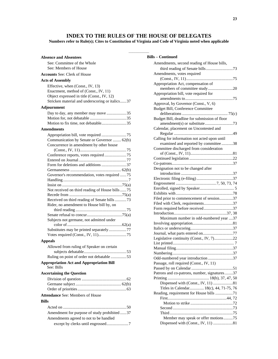# **INDEX TO THE RULES OF THE HOUSE OF DELEGATES**

#### **Numbers refer to Rule(s); Cites to Constitution of Virginia and Code of Virginia noted when applicable**

––––––––––

| <b>Absence and Absentees</b>                                                                                                                                               |
|----------------------------------------------------------------------------------------------------------------------------------------------------------------------------|
| See: Committee of the Whole<br>See: Members of House                                                                                                                       |
| <b>Accounts See: Clerk of House</b>                                                                                                                                        |
| <b>Acts of Assembly</b>                                                                                                                                                    |
| Effective, when (Const., IV, 13)<br>Enactment, method of (Const., IV, 11)<br>Object expressed in title (Const., IV, 12)<br>Stricken material and underscoring or italics37 |
| Adjournment                                                                                                                                                                |
| Day to day, any member may move 35<br>Motion to fix time, not debatable35                                                                                                  |
| <b>Amendments</b>                                                                                                                                                          |
| Communication by Senate or Governor  62(b)<br>Concurrence in amendment by other house                                                                                      |
| Conference reports, votes required 75                                                                                                                                      |
|                                                                                                                                                                            |
|                                                                                                                                                                            |
|                                                                                                                                                                            |
| Governor's recommendation, votes required 75                                                                                                                               |
|                                                                                                                                                                            |
| Not received on third reading of House bills 75                                                                                                                            |
|                                                                                                                                                                            |
| Received on third reading of Senate bills 73                                                                                                                               |
| Rider, no amendment to House bill by, on                                                                                                                                   |
|                                                                                                                                                                            |
|                                                                                                                                                                            |
| Subjects not germane, not admitted under                                                                                                                                   |
|                                                                                                                                                                            |
| Substitutes may be printed separately77                                                                                                                                    |
|                                                                                                                                                                            |
| <b>Appeals</b>                                                                                                                                                             |
| Allowed from ruling of Speaker on certain                                                                                                                                  |
| Ruling on point of order not debatable 53                                                                                                                                  |
| <b>Appropriation Act and Appropriation Bill</b><br>See: Bills                                                                                                              |
| <b>Ascertaining the Question</b>                                                                                                                                           |
|                                                                                                                                                                            |
|                                                                                                                                                                            |
| <b>Attendance See: Members of House</b>                                                                                                                                    |
|                                                                                                                                                                            |
| <b>Bills</b>                                                                                                                                                               |
|                                                                                                                                                                            |
| Amendment for purpose of study prohibited 37                                                                                                                               |
| Amendments agreed to not to be handled                                                                                                                                     |
| except by clerks until engrossed7                                                                                                                                          |

| <b>Bills - Continued</b>                      |  |
|-----------------------------------------------|--|
| Amendments, second reading of House bills,    |  |
|                                               |  |
| Amendments, votes required                    |  |
|                                               |  |
| Appropriation Act, compensation of            |  |
| members of committee study20                  |  |
| Appropriation bill, vote required for         |  |
|                                               |  |
| Approval, by Governor (Const., V, 6)          |  |
| <b>Budget Bill, Conference Committee</b>      |  |
|                                               |  |
| Budget Bill, deadline for submission of floor |  |
|                                               |  |
| Calendar, placement on Uncontested and        |  |
|                                               |  |
| Calling for information not acted upon until  |  |
| examined and reported by committee 38         |  |
| Committee discharged from consideration       |  |
|                                               |  |
|                                               |  |
|                                               |  |
| Designation not to be changed after           |  |
|                                               |  |
|                                               |  |
|                                               |  |
|                                               |  |
|                                               |  |
| Filed prior to commencement of session37      |  |
| Filed with Clerk, requirements37              |  |
| Form required before received37               |  |
|                                               |  |
| Maximum number in odd-numbered year 37        |  |
|                                               |  |
|                                               |  |
| Journal, what parts entered on77              |  |
| Legislative continuity (Const., IV, 7)22      |  |
|                                               |  |
|                                               |  |
|                                               |  |
| Odd-numbered year introduction 37             |  |
| Passage, roll required (Const., IV, 11)       |  |
|                                               |  |
| Patrons and co-patrons, number, signatures37  |  |
|                                               |  |
| Dispensed with (Const., IV, 11) 81            |  |
| Titles in Calendar 18(c), 44, 71-75, 76       |  |
| Reading, requirement for House bills 71       |  |
|                                               |  |
|                                               |  |
|                                               |  |
|                                               |  |
| Member may speak or offer motions75           |  |
| Dispensed with (Const., IV, 11) 81            |  |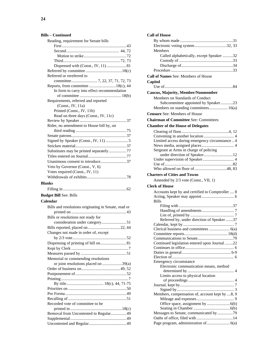#### **Bills – Continued**

| Reading, requirement for Senate bills                |
|------------------------------------------------------|
|                                                      |
|                                                      |
|                                                      |
|                                                      |
| Dispensed with (Const., IV, 11)  81                  |
|                                                      |
| Referred or rereferred to                            |
|                                                      |
| Reports, from committee 18(c), 44                    |
| In form to carry into effect recommendation          |
|                                                      |
| Requirements, referred and reported                  |
| (Const., IV, 11a)                                    |
| Printed (Const., IV, 11b)                            |
| Read on three days (Const., IV, 11c)                 |
|                                                      |
| Rider, no amendment to House bill by, on             |
|                                                      |
|                                                      |
|                                                      |
|                                                      |
| Substitutes may be printed separately77              |
|                                                      |
| Unanimous consent to introduce37                     |
| Veto by Governor (Const., V, 6)                      |
| Votes required (Const., IV, 11)                      |
|                                                      |
|                                                      |
|                                                      |
| <b>Blanks</b>                                        |
|                                                      |
| <b>Budget Bill See: Bills</b>                        |
| Calendar                                             |
|                                                      |
| Bills and resolutions originating in Senate, read or |
|                                                      |
| Bills or resolutions not ready for                   |
| consideration under category51                       |
| Bills reported, placed on  22, 44                    |
| Changes not made in order of, except                 |
|                                                      |
| Dispensing of printing of bill on 81                 |
|                                                      |
|                                                      |
| Memorial or commending resolutions                   |
| or joint resolutions placed on 39(a)                 |
|                                                      |
|                                                      |
|                                                      |
|                                                      |
|                                                      |
|                                                      |
|                                                      |
| Recorded vote of committee to be                     |
|                                                      |
| Removal from Uncontested to Regular 49               |
|                                                      |

| <b>Call of House</b>                             |
|--------------------------------------------------|
|                                                  |
|                                                  |
| Members                                          |
| Called alphabetically, except Speaker 32         |
|                                                  |
|                                                  |
|                                                  |
| <b>Call of Names See: Members of House</b>       |
| Capitol                                          |
|                                                  |
| <b>Caucus, Majority, Member/Nonmember</b>        |
| Members on Standards of Conduct                  |
| Subcommittee appointed by Speaker23              |
| Members on standing committees 16(a)             |
| <b>Censure See: Members of House</b>             |
|                                                  |
| <b>Chairman of Committee See: Committees</b>     |
| <b>Chamber of the House of Delegates</b>         |
|                                                  |
|                                                  |
| Limited access during emergency circumstance 4   |
|                                                  |
| Sergeant at Arms in charge of policing           |
| under direction of Speaker12                     |
|                                                  |
|                                                  |
| <b>Charters of Cities and Towns</b>              |
|                                                  |
|                                                  |
| Amended by 2/3 vote (Const., VII, 1)             |
| Clerk of House                                   |
| Accounts kept by and certified to Comptroller  8 |
|                                                  |
| <b>Bills</b>                                     |
|                                                  |
|                                                  |
|                                                  |
| Referred by, under direction of Speaker 37       |
|                                                  |
|                                                  |
|                                                  |
| Continued legislation entered upon Journal22     |
|                                                  |
|                                                  |
|                                                  |
| Emergency circumstance                           |
| Electronic communication means, method           |
|                                                  |
| Limits access to physical location               |
|                                                  |
|                                                  |
| Members, compensation of, account kept by 8, 9   |
|                                                  |
|                                                  |
|                                                  |
| Messages to Senate, communicated by 79           |
|                                                  |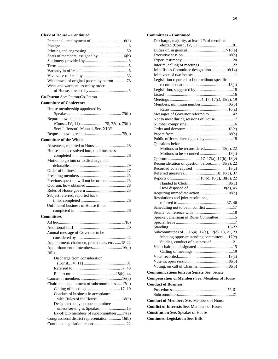#### **Clerk of House – Continued**

| Withdrawal of original papers by patron 78    |
|-----------------------------------------------|
| Writs and warrants issued by order            |
|                                               |
| Co-Patron See: Patron/Co-Patron               |
| <b>Committee of Conference</b>                |
| House membership appointed by                 |
|                                               |
| Report, how adopted                           |
|                                               |
| See: Jefferson's Manual, Sec. XLVI            |
|                                               |
| <b>Committee of the Whole</b>                 |
|                                               |
| House stands resolved into, until business    |
|                                               |
|                                               |
| Motion to go into or to discharge, not        |
|                                               |
|                                               |
|                                               |
| Previous question will not be ordered25       |
|                                               |
|                                               |
| Subject referred, reported back               |
| Unfinished business of House if not           |
|                                               |
|                                               |
| <b>Committees</b>                             |
|                                               |
|                                               |
| Annual message of Governor to be              |
|                                               |
| Appointment, chairmen, procedures, etc. 15-22 |
|                                               |
| <b>Bills</b>                                  |
| Discharge from consideration                  |
|                                               |
|                                               |
|                                               |
|                                               |
| Chairman, appointment of subcommittees17(a)   |
| Calling of meetings  17, 19                   |
| Conduct of business in accordance             |
| with Rules of the House 18(e)                 |
| Designated only on one committee              |
| unless serving as Speaker 15                  |
| Ex-officio members of subcommittees17(a)      |
| Congressional district representation 16(b)   |
|                                               |

| <b>Committees - Continued</b>                        |
|------------------------------------------------------|
| Discharge, majority, at least 2/5 of members         |
|                                                      |
|                                                      |
|                                                      |
|                                                      |
|                                                      |
| Joint Rules Committee designation 16(14)             |
|                                                      |
| Legislation reported to floor without specific       |
|                                                      |
|                                                      |
|                                                      |
| Members, minimum number 16(b)                        |
|                                                      |
| Messages of Governor referred to 42                  |
| Not to meet during sessions of House17               |
|                                                      |
|                                                      |
|                                                      |
| Public officers, investigated by 18                  |
| <b>Ouestions</b> before                              |
| Motions to be reconsidered 18(a), 22                 |
|                                                      |
|                                                      |
| Reconsideration of question before 18(a), 22         |
|                                                      |
| Referred measures 18, 18(c), 37                      |
|                                                      |
|                                                      |
|                                                      |
| Requiring immediate action  18(d)                    |
| Resolutions and joint resolutions,                   |
| Scheduling not to be in conflict 17                  |
|                                                      |
| Speaker, chairman of Rules Committee15               |
|                                                      |
|                                                      |
| Subcommittees of  16(a), 17(a), 17(c), 18, 21, 23    |
| Meeting opposite standing committees 17(c)           |
| Studies, conduct of business of21                    |
|                                                      |
|                                                      |
|                                                      |
|                                                      |
| Voting, on call of Chairman 18(b)                    |
| <b>Communications to/from Senate See: Senate</b>     |
| <b>Compensation of Members See: Members of House</b> |
| <b>Conduct of Business</b>                           |
|                                                      |
|                                                      |
| <b>Conduct of Members See: Members of House</b>      |
| <b>Conflict of Interests See: Members of House</b>   |
| <b>Constitution</b> See: Speaker of House            |
|                                                      |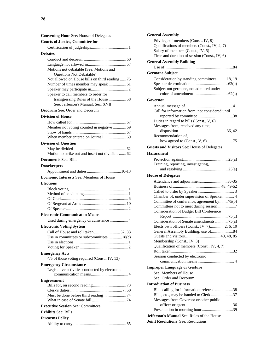| <b>Convening Hour See: House of Delegates</b>     |
|---------------------------------------------------|
| <b>Courts of Justice, Committee for</b>           |
|                                                   |
| <b>Debates</b>                                    |
|                                                   |
|                                                   |
| Motions not debatable (See: Motions and           |
| <b>Ouestions Not Debatable)</b>                   |
| Not allowed on House bills on third reading 75    |
| Number of times member may speak  61              |
| Speaker to call members to order for              |
| transgressing Rules of the House 58               |
| See: Jefferson's Manual, Sec. XVII                |
| <b>Decorum</b> See: Order and Decorum             |
| <b>Division of House</b>                          |
|                                                   |
| Member not voting counted in negative  69         |
|                                                   |
|                                                   |
| <b>Division of Question</b>                       |
|                                                   |
| Motion to strike out and insert not divisible  62 |
| <b>Documents See: Bills</b>                       |
| <b>Doorkeepers</b>                                |
|                                                   |
| <b>Economic Interests See: Members of House</b>   |
| <b>Elections</b>                                  |
|                                                   |
|                                                   |
|                                                   |
|                                                   |
| <b>Electronic Communicaton Means</b>              |
| Used during emergency circumstance 4              |
| <b>Electronic Voting System</b>                   |
|                                                   |
| Use in committees or subcommittees 18 $(c)$       |
|                                                   |
|                                                   |
| <b>Emergency Acts</b>                             |
| 4/5 of those voting required (Const., IV, 13)     |
| <b>Emergency Circumstance</b>                     |
| Legislative activities conducted by electronic    |
|                                                   |
| <b>Engrossment</b>                                |
|                                                   |
|                                                   |
|                                                   |
|                                                   |
| <b>Executive Session See: Committees</b>          |
| <b>Exhibits See: Bills</b>                        |
| <b>Firearms Policy</b>                            |
|                                                   |

| <b>General Assembly</b>                                                                                                                                                   |
|---------------------------------------------------------------------------------------------------------------------------------------------------------------------------|
| Privilege of members (Const., IV, 9)<br>Qualifications of members (Const., IV, 4, 7)<br>Salary of members (Const., IV, 5)<br>Time and duration of session (Const., IV, 6) |
| <b>General Assembly Building</b>                                                                                                                                          |
|                                                                                                                                                                           |
| <b>Germane Subject</b>                                                                                                                                                    |
|                                                                                                                                                                           |
| Consideration by standing committees 18, 19                                                                                                                               |
| Subject not germane, not admitted under                                                                                                                                   |
|                                                                                                                                                                           |
| Governor                                                                                                                                                                  |
|                                                                                                                                                                           |
| Call for information from, not considered until                                                                                                                           |
|                                                                                                                                                                           |
| Duties in regard to bills (Const., V, 6)                                                                                                                                  |
| Messages from, received any time,                                                                                                                                         |
|                                                                                                                                                                           |
| Recommendation of.                                                                                                                                                        |
|                                                                                                                                                                           |
| <b>Guests and Visitors See: House of Delegates</b>                                                                                                                        |
| <b>Harassment</b>                                                                                                                                                         |
|                                                                                                                                                                           |
| Training, reporting, investigating,                                                                                                                                       |
|                                                                                                                                                                           |
| <b>House of Delegates</b>                                                                                                                                                 |
| Attendance and adjournment 30-35                                                                                                                                          |
|                                                                                                                                                                           |
|                                                                                                                                                                           |
| Chamber of, under supervision of Speaker  4                                                                                                                               |
| Committee of conference, agreement by75(b)                                                                                                                                |
| Committees not to meet during session17                                                                                                                                   |
| Consideration of Budget Bill Conference                                                                                                                                   |
| Consideration of Senate amendments  75(a)                                                                                                                                 |
| Elects own officers (Const., IV, 7)2, 6, 10                                                                                                                               |
| General Assembly Building, use of84                                                                                                                                       |
|                                                                                                                                                                           |
| Membership (Const., IV, 3)                                                                                                                                                |
| Qualification of members (Const., IV, 4, 7)                                                                                                                               |
|                                                                                                                                                                           |
| Session conducted by electronic                                                                                                                                           |
|                                                                                                                                                                           |
| <b>Improper Language or Gesture</b>                                                                                                                                       |
| See: Members of House                                                                                                                                                     |
| See: Order and Decorum                                                                                                                                                    |
| <b>Introduction of Business</b>                                                                                                                                           |
| Bills calling for information, referred 38                                                                                                                                |
| Bills, etc., may be handed to Clerk 37                                                                                                                                    |
| Messages from Governor or other public                                                                                                                                    |
|                                                                                                                                                                           |
|                                                                                                                                                                           |
| <b>Jefferson's Manual See: Rules of the House</b>                                                                                                                         |
| Joint Resolutions See: Resolutions                                                                                                                                        |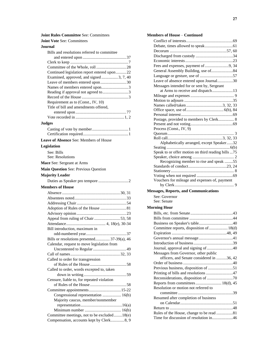#### **Joint Rules Committee** See: Committees

|  |  | <b>Joint Vote See: Committees</b> |  |
|--|--|-----------------------------------|--|
|--|--|-----------------------------------|--|

#### **Journal**

| Bills and resolutions referred to committee                                             |
|-----------------------------------------------------------------------------------------|
|                                                                                         |
|                                                                                         |
|                                                                                         |
| Continued legislation report entered upon 22                                            |
| Examined, approved, and signed  3, 7, 40                                                |
| Leave of members entered upon30                                                         |
| Names of members entered upon3                                                          |
| Reading if approval not agreed to3                                                      |
| Requirement as to (Const., IV, 10)                                                      |
| Title of bill and amendments offered,                                                   |
|                                                                                         |
|                                                                                         |
|                                                                                         |
| <b>Judges</b>                                                                           |
|                                                                                         |
|                                                                                         |
| Leave of Absence See: Members of House                                                  |
| Legislation                                                                             |
| See: Bills                                                                              |
| See: Resolutions                                                                        |
| Mace See: Sergeant at Arms                                                              |
| Main Question See: Previous Question                                                    |
|                                                                                         |
| <b>Majority Leader</b>                                                                  |
|                                                                                         |
|                                                                                         |
| <b>Members of House</b>                                                                 |
|                                                                                         |
|                                                                                         |
|                                                                                         |
|                                                                                         |
|                                                                                         |
| Appeal from ruling of Chair 53, 58                                                      |
|                                                                                         |
| Bill introduction, maximum in                                                           |
|                                                                                         |
| Bills or resolutions presented 37-39(a), 46                                             |
| Calendar, request to move legislation from                                              |
|                                                                                         |
|                                                                                         |
| Called to order for transgression                                                       |
|                                                                                         |
| Called to order, words excepted to, taken                                               |
|                                                                                         |
| Censure, liable to, for repeated violation                                              |
|                                                                                         |
| Committee appointments15-22                                                             |
| Congressional representation  16(b)                                                     |
| Majority caucus, member/nonmember                                                       |
|                                                                                         |
|                                                                                         |
| Committee meetings, not to be excluded18(e)<br>Compensation, accounts kept by Clerk8, 9 |

| <b>Members of House - Continued</b>                |
|----------------------------------------------------|
|                                                    |
|                                                    |
|                                                    |
|                                                    |
|                                                    |
| Fees and expenses, payment of 9, 34                |
| General Assembly Building, use of84                |
|                                                    |
| Leave of absence entered upon Journal30            |
| Messages intended for or sent by, Sergeant         |
| at Arms to receive and dispatch13                  |
|                                                    |
|                                                    |
|                                                    |
|                                                    |
|                                                    |
| Postage, provided to members by Clerk 8            |
|                                                    |
| Process (Const., IV, 9)                            |
|                                                    |
|                                                    |
| Alphabetically arranged, except Speaker32          |
| Speak to or offer motion on third reading bills 75 |
|                                                    |
| Recognizing member to rise and speak 55            |
|                                                    |
|                                                    |
|                                                    |
| Vouchers for mileage and expenses of, payment      |
|                                                    |
| <b>Messages, Reports, and Communications</b>       |
| See: Governor                                      |
| See: Senate                                        |
| <b>Morning Hour</b>                                |
|                                                    |
|                                                    |
|                                                    |
| Committee reports, disposition of  18(d)           |
|                                                    |
|                                                    |
|                                                    |
| Journal, approval and signing of 40                |
| Messages from Governor, other public               |
| officers, and Senate considered in 36, 42          |
|                                                    |
| Previous business, disposition of 51               |
| Printing of bills and resolutions 47               |
|                                                    |
| Reports from committees 18(d), 45                  |
| Resolution or motion not referred to               |
|                                                    |
| Resumed after completion of business               |
|                                                    |
|                                                    |

Rules of the House, change to be read ................81 Time for discussion of resolution in....................46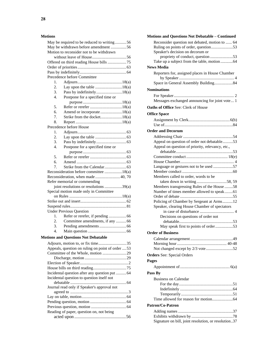#### **Motions**

|                  | May be required to be reduced to writing56        |
|------------------|---------------------------------------------------|
|                  | May be withdrawn before amendment 56              |
|                  | Motion to reconsider not to be withdrawn          |
|                  |                                                   |
|                  | Offered on third reading House bills 75           |
|                  |                                                   |
|                  |                                                   |
|                  | Precedence before Committee                       |
| 1.               |                                                   |
| 2.               |                                                   |
| 3.               | Pass by indefinitely18(a)                         |
| $\overline{4}$ . | Postpone for a specified time or                  |
|                  |                                                   |
| 5.               |                                                   |
| б.               | Amend or incorporate 18(a)                        |
| 7.               | Strike from the docket18(a)                       |
| 8.               |                                                   |
|                  | Precedence before House                           |
| 1.               |                                                   |
| 2.               |                                                   |
| 3.               |                                                   |
| 4.               | Postpone for a specified time or                  |
|                  |                                                   |
| 5.               |                                                   |
| б.               |                                                   |
| 7.               |                                                   |
|                  | Reconsideration before committee 18(a)            |
|                  | Reconsideration, when made40, 70                  |
|                  | Refer memorial or commending                      |
|                  | joint resolutions or resolutions 39(a)            |
|                  | Special motion made only in Committee             |
|                  |                                                   |
|                  |                                                   |
|                  |                                                   |
|                  | <b>Under Previous Question</b>                    |
| 1.               |                                                   |
| $\overline{2}$ . | Committee amendments, if any  66                  |
| 3.               |                                                   |
| 4.               |                                                   |
|                  | <b>Motions and Questions Not Debatable</b>        |
|                  |                                                   |
|                  | Adjourn, motion to, or fix time<br>$\dots$ 35     |
|                  | Appeals, question on ruling on point of order  53 |
|                  | Committee of the Whole, motion 29                 |
|                  |                                                   |
|                  |                                                   |
|                  |                                                   |
|                  |                                                   |
|                  | Incidental question after any question put  64    |
|                  | Incidental question to question itself not        |
|                  | Journal read only if Speaker's approval not       |
|                  |                                                   |
|                  |                                                   |
|                  |                                                   |
|                  |                                                   |
|                  | Reading of paper, question on, not being          |

| <b>Motions and Questions Not Debatable - Continued</b>                                   |
|------------------------------------------------------------------------------------------|
| Reconsider question not debated, motion to  64                                           |
| Ruling on points of order, question53                                                    |
| Speaker's decision on decorum or                                                         |
| propriety of conduct, question 53                                                        |
| Take up a subject from the table, motion 64                                              |
| <b>News Media</b>                                                                        |
| Reporters for, assigned places in House Chamber                                          |
|                                                                                          |
| Space in General Assembly Building84                                                     |
| <b>Nominations</b>                                                                       |
|                                                                                          |
| Messages exchanged announcing for joint vote 1                                           |
| Oaths of Office See: Clerk of House                                                      |
|                                                                                          |
| <b>Office Space</b>                                                                      |
|                                                                                          |
|                                                                                          |
| <b>Order and Decorum</b>                                                                 |
|                                                                                          |
| Appeal on question of order not debatable53                                              |
| Appeal on question of priority, relevancy, etc.,                                         |
|                                                                                          |
|                                                                                          |
|                                                                                          |
| Language or gestures not to be used 57                                                   |
|                                                                                          |
| Members called to order, words to be                                                     |
|                                                                                          |
| Members transgressing Rules of the House 58<br>Number of times member allowed to speak61 |
|                                                                                          |
| Policing of Chamber by Sergeant at Arms12                                                |
| Speaker, clearing House Chamber of spectators                                            |
|                                                                                          |
| Decisions on questions of order not                                                      |
|                                                                                          |
| May speak first to points of order53                                                     |
| <b>Order of Business</b>                                                                 |
|                                                                                          |
|                                                                                          |
|                                                                                          |
|                                                                                          |
| <b>Orders</b> See: Special Orders                                                        |
| Pages                                                                                    |
|                                                                                          |
| Pass By                                                                                  |
| <b>Business on Calendar</b>                                                              |
|                                                                                          |
|                                                                                          |
|                                                                                          |
|                                                                                          |
| <b>Patron/Co-Patron</b>                                                                  |
|                                                                                          |
|                                                                                          |
| Signature on bill, joint resolution, or resolution37                                     |
|                                                                                          |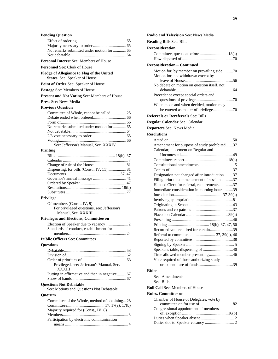#### **Pending Questic**

| renamg Quesuon                                                             |
|----------------------------------------------------------------------------|
|                                                                            |
|                                                                            |
| No remarks submitted under motion for  65                                  |
|                                                                            |
| Personal Interest See: Members of House                                    |
| <b>Personnel See: Clerk of House</b>                                       |
| Pledge of Allegiance to Flag of the United<br>States See: Speaker of House |
| Point of Order See: Speaker of House                                       |
| Postage See: Members of House                                              |
| Present and Not Voting See: Members of House                               |
| Press See: News Media                                                      |
| <b>Previous Question</b>                                                   |
| Committee of Whole, cannot be called25                                     |
|                                                                            |
|                                                                            |
| No remarks submitted under motion for  65                                  |
|                                                                            |
|                                                                            |
|                                                                            |
| See: Jefferson's Manual, Sec. XXXIV                                        |
| Printing                                                                   |
|                                                                            |
|                                                                            |
|                                                                            |
| Dispensing, for bills (Const., IV, 11)81                                   |
|                                                                            |
|                                                                            |
|                                                                            |
|                                                                            |
| Privilege                                                                  |
| Of members (Const., IV, 9)                                                 |
| For privileged questions, see: Jefferson's                                 |
| Manual, Sec. XXXIII                                                        |
| Privileges and Elections, Committee on                                     |
|                                                                            |
| Standards of conduct, establishment for                                    |
|                                                                            |
| <b>Public Officers See: Committees</b>                                     |
| <b>Questions</b>                                                           |
|                                                                            |
|                                                                            |
|                                                                            |
| Privileged, see: Jefferson's Manual, Sec.<br>XXXIII                        |
| Putting in affirmative and then in negative 67                             |
| <b>Questions Not Debatable</b>                                             |
| See: Motions and Questions Not Debatable                                   |
| Quorum                                                                     |
| Committee of the Whole, method of obtaining28                              |
|                                                                            |
| Majority required for (Const., IV, 8)                                      |
|                                                                            |
| Participation by electronic communication                                  |
|                                                                            |

| Radio and Television See: News Media                                              |  |
|-----------------------------------------------------------------------------------|--|
| <b>Reading Bills See: Bills</b>                                                   |  |
| <b>Reconsideration</b>                                                            |  |
| Committee, question before  18(a)                                                 |  |
|                                                                                   |  |
| <b>Reconsideration - Continued</b>                                                |  |
|                                                                                   |  |
| Motion for, by member on prevailing side70<br>Motion for, not withdrawn except by |  |
|                                                                                   |  |
| No debate on motion on question itself, not                                       |  |
|                                                                                   |  |
| Precedence except special orders and                                              |  |
|                                                                                   |  |
| When made and when decided, motion may                                            |  |
| be entered as matter of privilege70                                               |  |
| <b>Referrals or Rereferrals See: Bills</b>                                        |  |
| Regular Calendar See: Calendar                                                    |  |
| <b>Reporters See: News Media</b>                                                  |  |
| <b>Resolutions</b>                                                                |  |
|                                                                                   |  |
|                                                                                   |  |
| Amendment for purpose of study prohibited37                                       |  |
| Calendar, placement on Regular and                                                |  |
|                                                                                   |  |
|                                                                                   |  |
|                                                                                   |  |
| Designation not changed after introduction 37                                     |  |
| Filing prior to commencement of session 37                                        |  |
| Handed Clerk for referral, requirements 37                                        |  |
| Immediate consideration in morning hour 39                                        |  |
|                                                                                   |  |
|                                                                                   |  |
|                                                                                   |  |
|                                                                                   |  |
|                                                                                   |  |
|                                                                                   |  |
|                                                                                   |  |
| Recorded vote required for certain39                                              |  |
| Referral to committee  37, 39(a), 46                                              |  |
|                                                                                   |  |
|                                                                                   |  |
| Speaker's table, dispensing of 40<br>Time allowed member presenting46             |  |
| Vote required of those authorizing study                                          |  |
|                                                                                   |  |
|                                                                                   |  |
| Rider                                                                             |  |
| See: Amendments                                                                   |  |
| See: Bills                                                                        |  |
| <b>Roll Call See: Members of House</b>                                            |  |
| <b>Rules, Committee on</b>                                                        |  |
| Chamber of House of Delegates, vote by                                            |  |
|                                                                                   |  |
| Congressional appointment of members                                              |  |
|                                                                                   |  |
|                                                                                   |  |
|                                                                                   |  |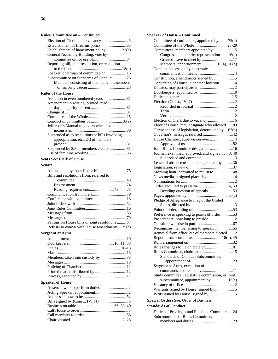#### **Rules, Committee on – Continued**

| Establishment of harassment policy 23(a)        |
|-------------------------------------------------|
| General Assembly Building, vote by              |
|                                                 |
| Reporting bill, joint resolution, or resolution |
|                                                 |
| Speaker, chairman of committee on 15            |
| Subcommittee on Standards of Conduct23          |
| Members consisting of members/nonmembers        |
|                                                 |
| <b>Rules of the House</b>                       |
| Adoption in even numbered years  81             |
| Amendment in writing, printed, read 5           |
|                                                 |
|                                                 |
|                                                 |
| Conduct of committees by 18(e)                  |
| Jefferson's Manual to govern when not           |
|                                                 |
| Suspended as to resolutions or bills involving  |
| appropriation, etc., 2/3 of members             |
|                                                 |
| Suspended by 2/3 of members elected81           |
|                                                 |
| Seats See: Clerk of House                       |
| Senate                                          |
|                                                 |
|                                                 |
|                                                 |
| Bills and resolutions from, referred to         |
|                                                 |
|                                                 |
| Reading requirements 43, 44, 73                 |
|                                                 |
| Conference with committees  18                  |
|                                                 |
|                                                 |
|                                                 |
|                                                 |
| Patrons on House bills or joint resolutions  37 |
| Refusal to concur with House amendments75(a)    |
| <b>Sergeant at Arms</b>                         |
|                                                 |
|                                                 |
|                                                 |
|                                                 |
| Members, taken into custody by 33               |
|                                                 |
|                                                 |
| Printed matter distributed by  12               |
|                                                 |
| <b>Speaker of House</b>                         |
|                                                 |
|                                                 |
|                                                 |
|                                                 |
|                                                 |
|                                                 |
|                                                 |
|                                                 |

| <b>Speaker of House - Continued</b>                                                |  |
|------------------------------------------------------------------------------------|--|
| Committee of conference, appointed by75(b)                                         |  |
| Committees, members appointed by 15                                                |  |
| Congressional district representation 16(b)                                        |  |
| Granted leave to meet by 17                                                        |  |
| Members, apportionment16(a), 16(b)                                                 |  |
| Conduction session by electronic                                                   |  |
|                                                                                    |  |
|                                                                                    |  |
| Convening of House in another location 4                                           |  |
|                                                                                    |  |
|                                                                                    |  |
|                                                                                    |  |
|                                                                                    |  |
|                                                                                    |  |
|                                                                                    |  |
|                                                                                    |  |
|                                                                                    |  |
| Floor of House, may designate who allowed 83                                       |  |
| Germaneness of legislation, determined by  62(b)                                   |  |
|                                                                                    |  |
| House Chamber, supervision over  4                                                 |  |
|                                                                                    |  |
| Joint Rules Committee designated 16                                                |  |
| Journal, examined, approved, and signed by3, 40                                    |  |
|                                                                                    |  |
| Leave of absence of members, granted by 30                                         |  |
|                                                                                    |  |
| Morning hour, permitted to return to 48                                            |  |
|                                                                                    |  |
|                                                                                    |  |
|                                                                                    |  |
| Deciding question of appeals53                                                     |  |
|                                                                                    |  |
| Pledge of Allegiance to Flag of the United                                         |  |
|                                                                                    |  |
|                                                                                    |  |
| Preference in speaking to points of order53                                        |  |
|                                                                                    |  |
|                                                                                    |  |
| Recognizes member rising to speak55                                                |  |
| Removal from office 2/3 of members elected  2<br>Reports from committee 18(d), 45  |  |
|                                                                                    |  |
|                                                                                    |  |
| Rules Committee, chairman of15                                                     |  |
| Standards of Conduct Subcommittee,                                                 |  |
|                                                                                    |  |
| Sergeant at Arms, execution of                                                     |  |
| commands as directed by11                                                          |  |
| Study committee, legislative commission, or joint                                  |  |
| subcommittee, appointment by  16(a)                                                |  |
|                                                                                    |  |
| Warrants issued by House, signed by 5                                              |  |
|                                                                                    |  |
|                                                                                    |  |
| Special Orders See: Order of Business                                              |  |
| <b>Standards of Conduct</b>                                                        |  |
| Duties of Privileges and Elections Committee24<br>Subcommittee of Rules Committee, |  |

members and duties......................................23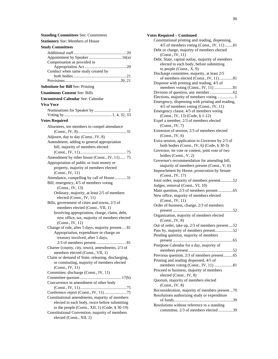elected (Const., XII, 2)

| <b>Votes Required - Continued</b>                |
|--------------------------------------------------|
| Constitutional printing and reading, dispensing, |
| 4/5 of members voting (Const., IV, 11)81         |
| Debt or charge, majority of members elected      |
| (Const., IV, 11)                                 |
| Debt, State, capital outlay, majority of members |
| elected to each body, before submitting          |
| to people (Const., X, 9)                         |
| Discharge committee, majority, at least 2/5      |
| of members elected (Const., IV, 11)81            |
| Dispense with printing and reading, 4/5 of       |
| members voting (Const., IV, 11) 81               |
|                                                  |
| Elections, majority of members voting  1         |
| Emergency, dispensing with printing and reading, |
| 4/5 of members voting (Const., IV, 11)           |
| Emergency clause, 4/5 of members voting          |
| (Const., IV, 13) (Code, § 1-12)                  |
| Expel a member, 2/3 of members elected           |
| (Const., IV, 7)                                  |
| Extension of session, 2/3 of members elected     |
| (Const., IV, 6)                                  |
| Extra session, application to Governor by 2/3 of |
| both bodies (Const., IV, 6) (Code, § 30-3)       |
| Governor, tie vote or contest, joint vote of two |
| bodies (Const., V, 2)                            |
| Governor's recommendation for amending bill,     |
| majority of members present (Const., V, 6)       |
| Impeachment by House, prosecution by Senate      |
| (Const., IV, 17)                                 |
| Joint order, majority of members present52       |
| Judges, removal (Const., VI, 10)                 |
| Main question, 2/3 of members present 65         |
| New office, majority of members elected          |
| (Const., IV, 11)                                 |
| Order of business, change, 2/3 of members        |
|                                                  |
| Organization, majority of members elected        |
| (Const., IV, 8)                                  |
| Out of order, take up, 2/3 of members present52  |
| Pass by, majority of members present52           |
| Pending question, majority of members            |
|                                                  |
| Postpone Calendar for a day, majority of         |
|                                                  |
| Previous question, 2/3 of members present65      |
| Printing and reading dispensed, 4/5 of           |
| members voting (Const., IV, 11) 81               |
| Proceed to business, majority of members         |
| elected (Const., IV, 8)                          |
| Quorum, majority of members elected              |
| (Const., IV, 8)                                  |
| Reconsideration, majority of members present70   |
| Resolutions authorizing study or expenditure     |
|                                                  |
|                                                  |

Resolutions without reference to a standing committee, 2/3 of members elected ..............39